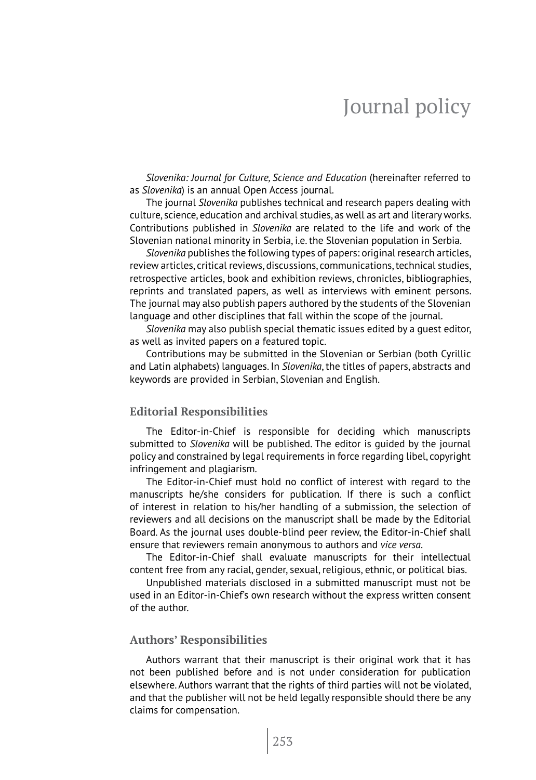# Journal policy

*Slovenika: Journal for Culture, Science and Education* (hereinafter referred to as *Slovenika*) is an annual Open Access journal.

The journal *Slovenika* publishes technical and research papers dealing with culture, science, education and archival studies, as well as art and literary works. Contributions published in *Slovenika* are related to the life and work of the Slovenian national minority in Serbia, i.e. the Slovenian population in Serbia.

*Slovenika* publishes the following types of papers: original research articles, review articles, critical reviews, discussions, communications, technical studies, retrospective articles, book and exhibition reviews, chronicles, bibliographies, reprints and translated papers, as well as interviews with eminent persons. The journal may also publish papers authored by the students of the Slovenian language and other disciplines that fall within the scope of the journal.

*Slovenika* may also publish special thematic issues edited by a guest editor, as well as invited papers on a featured topic.

Contributions may be submitted in the Slovenian or Serbian (both Cyrillic and Latin alphabets) languages. In *Slovenika*, the titles of papers, abstracts and keywords are provided in Serbian, Slovenian and English.

### **Editorial Responsibilities**

The Editor-in-Chief is responsible for deciding which manuscripts submitted to *Slovenika* will be published. The editor is guided by the journal policy and constrained by legal requirements in force regarding libel, copyright infringement and plagiarism.

The Editor-in-Chief must hold no conflict of interest with regard to the manuscripts he/she considers for publication. If there is such a conflict of interest in relation to his/her handling of a submission, the selection of reviewers and all decisions on the manuscript shall be made by the Editorial Board. As the journal uses double-blind peer review, the Editor-in-Chief shall ensure that reviewers remain anonymous to authors and *vice versa*.

The Editor-in-Chief shall evaluate manuscripts for their intellectual content free from any racial, gender, sexual, religious, ethnic, or political bias.

Unpublished materials disclosed in a submitted manuscript must not be used in an Editor-in-Chief's own research without the express written consent of the author.

# **Authors' Responsibilities**

Authors warrant that their manuscript is their original work that it has not been published before and is not under consideration for publication elsewhere. Authors warrant that the rights of third parties will not be violated, and that the publisher will not be held legally responsible should there be any claims for compensation.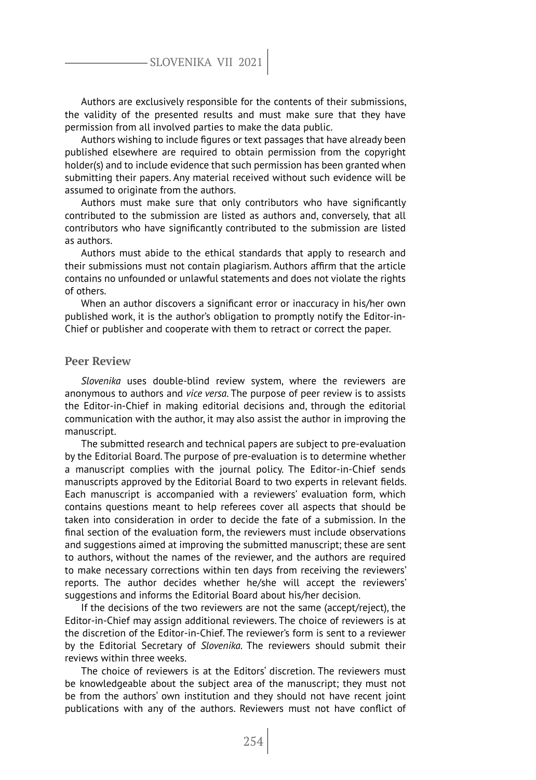# SLOVENIKA VII 2021

Authors are exclusively responsible for the contents of their submissions, the validity of the presented results and must make sure that they have permission from all involved parties to make the data public.

Authors wishing to include figures or text passages that have already been published elsewhere are required to obtain permission from the copyright holder(s) and to include evidence that such permission has been granted when submitting their papers. Any material received without such evidence will be assumed to originate from the authors.

Authors must make sure that only contributors who have significantly contributed to the submission are listed as authors and, conversely, that all contributors who have significantly contributed to the submission are listed as authors.

Authors must abide to the ethical standards that apply to research and their submissions must not contain plagiarism. Authors affirm that the article contains no unfounded or unlawful statements and does not violate the rights of others.

When an author discovers a significant error or inaccuracy in his/her own published work, it is the author's obligation to promptly notify the Editor-in-Chief or publisher and cooperate with them to retract or correct the paper.

# **Peer Review**

*Slovenika* uses double-blind review system, where the reviewers are anonymous to authors and *vice versa*. The purpose of peer review is to assists the Editor-in-Chief in making editorial decisions and, through the editorial communication with the author, it may also assist the author in improving the manuscript.

The submitted research and technical papers are subject to pre-evaluation by the Editorial Board. The purpose of pre-evaluation is to determine whether a manuscript complies with the journal policy. The Editor-in-Chief sends manuscripts approved by the Editorial Board to two experts in relevant fields. Each manuscript is accompanied with a reviewers' evaluation form, which contains questions meant to help referees cover all aspects that should be taken into consideration in order to decide the fate of a submission. In the final section of the evaluation form, the reviewers must include observations and suggestions aimed at improving the submitted manuscript; these are sent to authors, without the names of the reviewer, and the authors are required to make necessary corrections within ten days from receiving the reviewers' reports. The author decides whether he/she will accept the reviewers' suggestions and informs the Editorial Board about his/her decision.

If the decisions of the two reviewers are not the same (accept/reject), the Editor-in-Chief may assign additional reviewers. The choice of reviewers is at the discretion of the Editor-in-Chief. The reviewer's form is sent to a reviewer by the Editorial Secretary of *Slovenika*. The reviewers should submit their reviews within three weeks.

The choice of reviewers is at the Editors' discretion. The reviewers must be knowledgeable about the subject area of the manuscript; they must not be from the authors' own institution and they should not have recent joint publications with any of the authors. Reviewers must not have conflict of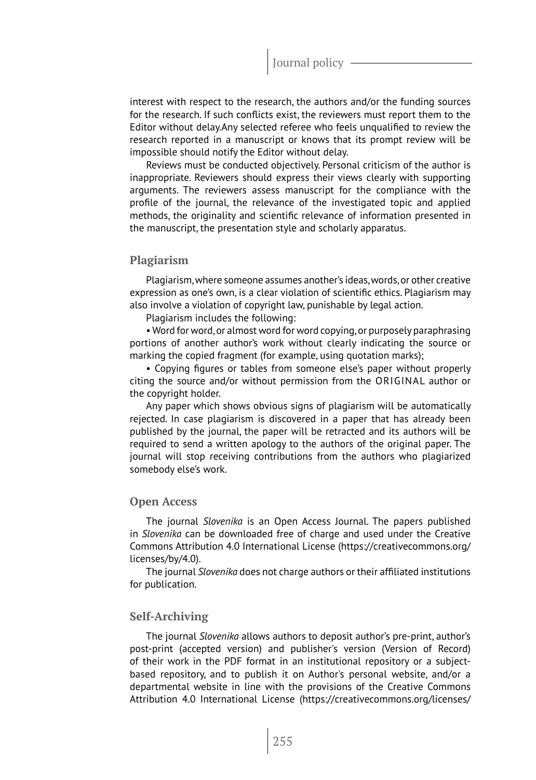interest with respect to the research, the authors and/or the funding sources for the research. If such conflicts exist, the reviewers must report them to the Editor without delay.Any selected referee who feels unqualified to review the research reported in a manuscript or knows that its prompt review will be impossible should notify the Editor without delay.

Reviews must be conducted objectively. Personal criticism of the author is inappropriate. Reviewers should express their views clearly with supporting arguments. The reviewers assess manuscript for the compliance with the profile of the journal, the relevance of the investigated topic and applied methods, the originality and scientific relevance of information presented in the manuscript, the presentation style and scholarly apparatus.

# **Plagiarism**

Plagiarism, where someone assumes another's ideas, words, or other creative expression as one's own, is a clear violation of scientific ethics. Plagiarism may also involve a violation of copyright law, punishable by legal action.

Plagiarism includes the following:

• Word for word, or almost word for word copying, or purposely paraphrasing portions of another author's work without clearly indicating the source or marking the copied fragment (for example, using quotation marks);

• Copying figures or tables from someone else's paper without properly citing the source and/or without permission from the ORIGINAL author or the copyright holder.

Any paper which shows obvious signs of plagiarism will be automatically rejected. In case plagiarism is discovered in a paper that has already been published by the journal, the paper will be retracted and its authors will be required to send a written apology to the authors of the original paper. The journal will stop receiving contributions from the authors who plagiarized somebody else's work.

## **Open Access**

The journal *Slovenika* is an Open Access Journal. The papers published in *Slovenika* can be downloaded free of charge and used under the Creative Commons Attribution 4.0 International License (https://creativecommons.org/ licenses/by/4.0).

The journal *Slovenika* does not charge authors or their affiliated institutions for publication.

# **Self-Archiving**

The journal *Slovenika* allows authors to deposit author's pre-print, author's post-print (accepted version) and publisher's version (Version of Record) of their work in the PDF format in an institutional repository or a subjectbased repository, and to publish it on Author's personal website, and/or a departmental website in line with the provisions of the Creative Commons Attribution 4.0 International License (https://creativecommons.org/licenses/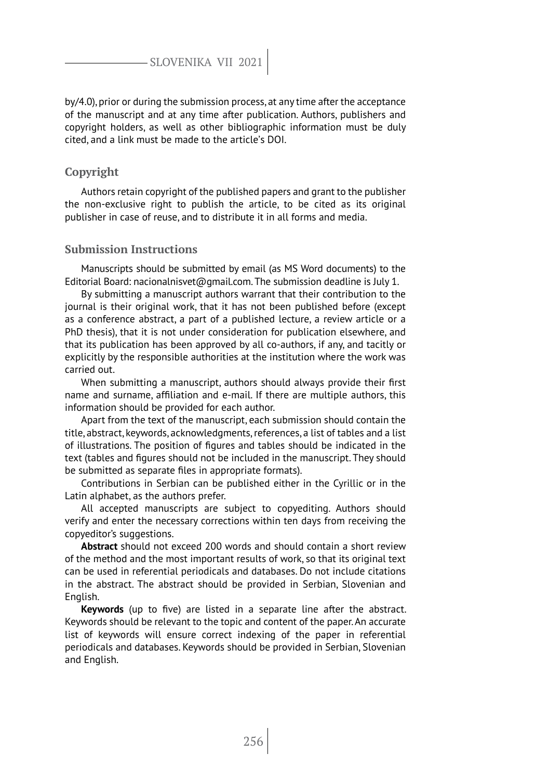by/4.0), prior or during the submission process, at any time after the acceptance of the manuscript and at any time after publication. Authors, publishers and copyright holders, as well as other bibliographic information must be duly cited, and a link must be made to the article's DOI.

# **Copyright**

Authors retain copyright of the published papers and grant to the publisher the non-exclusive right to publish the article, to be cited as its original publisher in case of reuse, and to distribute it in all forms and media.

# **Submission Instructions**

Manuscripts should be submitted by email (as MS Word documents) to the Editorial Board: nacionalnisvet@gmail.com. The submission deadline is July 1.

By submitting a manuscript authors warrant that their contribution to the journal is their original work, that it has not been published before (except as a conference abstract, a part of a published lecture, a review article or a PhD thesis), that it is not under consideration for publication elsewhere, and that its publication has been approved by all co-authors, if any, and tacitly or explicitly by the responsible authorities at the institution where the work was carried out.

When submitting a manuscript, authors should always provide their first name and surname, affiliation and e-mail. If there are multiple authors, this information should be provided for each author.

Apart from the text of the manuscript, each submission should contain the title, abstract, keywords, acknowledgments, references, a list of tables and a list of illustrations. The position of figures and tables should be indicated in the text (tables and figures should not be included in the manuscript. They should be submitted as separate files in appropriate formats).

Contributions in Serbian can be published either in the Cyrillic or in the Latin alphabet, as the authors prefer.

All accepted manuscripts are subject to copyediting. Authors should verify and enter the necessary corrections within ten days from receiving the copyeditor's suggestions.

**Abstract** should not exceed 200 words and should contain a short review of the method and the most important results of work, so that its original text can be used in referential periodicals and databases. Do not include citations in the abstract. The abstract should be provided in Serbian, Slovenian and English.

**Keywords** (up to five) are listed in a separate line after the abstract. Keywords should be relevant to the topic and content of the paper. An accurate list of keywords will ensure correct indexing of the paper in referential periodicals and databases. Keywords should be provided in Serbian, Slovenian and English.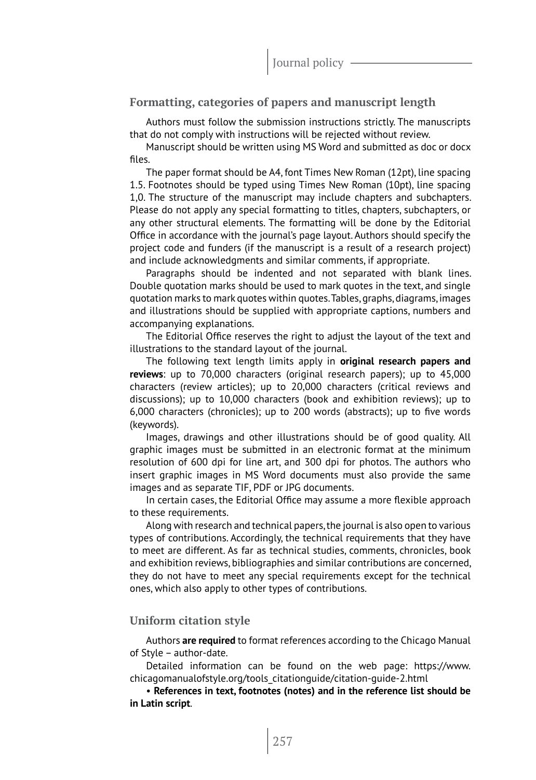# **Formatting, categories of papers and manuscript length**

Authors must follow the submission instructions strictly. The manuscripts that do not comply with instructions will be rejected without review.

Manuscript should be written using MS Word and submitted as doc or docx files.

The paper format should be A4, font Times New Roman (12pt), line spacing 1.5. Footnotes should be typed using Times New Roman (10pt), line spacing 1,0. The structure of the manuscript may include chapters and subchapters. Please do not apply any special formatting to titles, chapters, subchapters, or any other structural elements. The formatting will be done by the Editorial Office in accordance with the journal's page layout. Authors should specify the project code and funders (if the manuscript is a result of a research project) and include acknowledgments and similar comments, if appropriate.

Paragraphs should be indented and not separated with blank lines. Double quotation marks should be used to mark quotes in the text, and single quotation marks to mark quotes within quotes. Tables, graphs, diagrams, images and illustrations should be supplied with appropriate captions, numbers and accompanying explanations.

The Editorial Office reserves the right to adjust the layout of the text and illustrations to the standard layout of the journal.

The following text length limits apply in **original research papers and reviews**: up to 70,000 characters (original research papers); up to 45,000 characters (review articles); up to 20,000 characters (critical reviews and discussions); up to 10,000 characters (book and exhibition reviews); up to 6,000 characters (chronicles); up to 200 words (abstracts); up to five words (keywords).

Images, drawings and other illustrations should be of good quality. All graphic images must be submitted in an electronic format at the minimum resolution of 600 dpi for line art, and 300 dpi for photos. The authors who insert graphic images in MS Word documents must also provide the same images and as separate TIF, PDF or JPG documents.

In certain cases, the Editorial Office may assume a more flexible approach to these requirements.

Along with research and technical papers, the journal is also open to various types of contributions. Accordingly, the technical requirements that they have to meet are different. As far as technical studies, comments, chronicles, book and exhibition reviews, bibliographies and similar contributions are concerned, they do not have to meet any special requirements except for the technical ones, which also apply to other types of contributions.

# **Uniform citation style**

Authors **are required** to format references according to the Chicago Manual of Style – author-date.

Detailed information can be found on the web page: https://www. chicagomanualofstyle.org/tools\_citationguide/citation-guide-2.html

• **References in text, footnotes (notes) and in the reference list should be in Latin script**.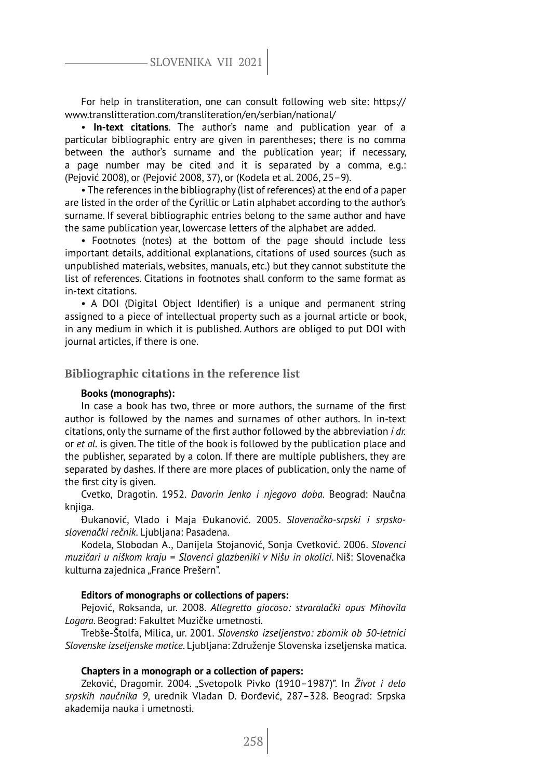# SLOVENIKA VII 2021

For help in transliteration, one can consult following web site: https:// www.translitteration.com/transliteration/en/serbian/national/

• **In-text citations**. The author's name and publication year of a particular bibliographic entry are given in parentheses; there is no comma between the author's surname and the publication year; if necessary, a page number may be cited and it is separated by a comma, e.g.: (Pejović 2008), or (Pejović 2008, 37), or (Kodela et al. 2006, 25–9).

• The references in the bibliography (list of references) at the end of a paper are listed in the order of the Cyrillic or Latin alphabet according to the author's surname. If several bibliographic entries belong to the same author and have the same publication year, lowercase letters of the alphabet are added.

• Footnotes (notes) at the bottom of the page should include less important details, additional explanations, citations of used sources (such as unpublished materials, websites, manuals, etc.) but they cannot substitute the list of references. Citations in footnotes shall conform to the same format as in-text citations.

• A DOI (Digital Object Identifier) is a unique and permanent string assigned to a piece of intellectual property such as a journal article or book, in any medium in which it is published. Authors are obliged to put DOI with journal articles, if there is one.

### **Bibliographic citations in the reference list**

#### **Books (monographs):**

In case a book has two, three or more authors, the surname of the first author is followed by the names and surnames of other authors. In in-text citations, only the surname of the first author followed by the abbreviation *i dr.* or *et al.* is given. The title of the book is followed by the publication place and the publisher, separated by a colon. If there are multiple publishers, they are separated by dashes. If there are more places of publication, only the name of the first city is given.

Cvetko, Dragotin. 1952. *Davorin Jenko i njegovo doba*. Beograd: Naučna knjiga.

Đukanović, Vlado i Maja Đukanović. 2005. *Slovenačko-srpski i srpskoslovenački rečnik*. Ljubljana: Pasadena.

Kodela, Slobodan A., Danijela Stojanović, Sonja Cvetković. 2006. *Slovenci muzičari u niškom kraju = Slovenci glazbeniki v Nišu in okolici*. Niš: Slovenačka kulturna zajednica "France Prešern".

#### **Editors of monographs or collections of papers:**

Pejović, Roksanda, ur. 2008. *Allegretto giocoso: stvaralački opus Mihovila Logara*. Beograd: Fakultet Muzičke umetnosti.

Trebše-Štolfa, Milica, ur. 2001. *Slovensko izseljenstvo: zbornik ob 50-letnici Slovenske izseljenske matice*. Ljubljana: Združenje Slovenska izseljenska matica.

#### **Chapters in a monograph or a collection of papers:**

Zeković, Dragomir. 2004. "Svetopolk Pivko (1910–1987)". In *Život i delo srpskih naučnika 9*, urednik Vladan D. Đorđević, 287–328. Beograd: Srpska akademija nauka i umetnosti.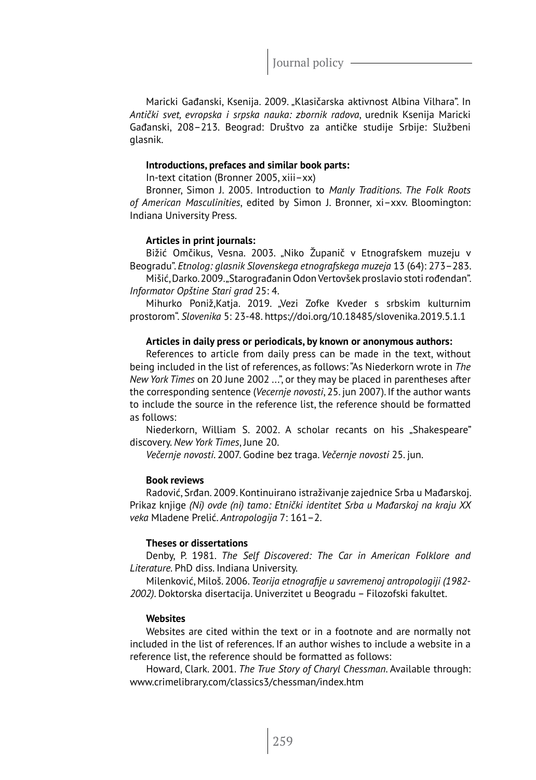Journal policy -

Maricki Gađanski, Ksenija. 2009. "Klasičarska aktivnost Albina Vilhara". In *Antički svet, evropska i srpska nauka: zbornik radova*, urednik Ksenija Maricki Gađanski, 208–213. Beograd: Društvo za antičke studije Srbije: Službeni glasnik.

#### **Introductions, prefaces and similar book parts:**

In-text citation (Bronner 2005, xiii–xx)

Bronner, Simon J. 2005. Introduction to *Manly Traditions. The Folk Roots of American Masculinities*, edited by Simon J. Bronner, xi–xxv. Bloomington: Indiana University Press.

#### **Articles in print journals:**

Bižić Omčikus, Vesna. 2003. "Niko Županič v Etnografskem muzeju v Beogradu". *Etnolog: glasnik Slovenskega etnografskega muzeja* 13 (64): 273–283.

Mišić, Darko. 2009. "Starograđanin Odon Vertovšek proslavio stoti rođendan". *Informator Opštine Stari grad* 25: 4.

Mihurko Poniž,Katja. 2019. "Vezi Zofke Kveder s srbskim kulturnim prostorom". *Slovenika* 5: 23-48. https://doi.org/10.18485/slovenika.2019.5.1.1

#### **Articles in daily press or periodicals, by known or anonymous authors:**

References to article from daily press can be made in the text, without being included in the list of references, as follows: "As Niederkorn wrote in *The New York Times* on 20 June 2002 ...", or they may be placed in parentheses after the corresponding sentence (*Vecernje novosti*, 25. jun 2007). If the author wants to include the source in the reference list, the reference should be formatted as follows:

Niederkorn, William S. 2002. A scholar recants on his "Shakespeare" discovery. *New York Times*, June 20.

*Večernje novosti*. 2007. Godine bez traga. *Večernje novosti* 25. jun.

# **Book reviews**

Radović, Srđan. 2009. Kontinuirano istraživanje zajednice Srba u Mađarskoj. Prikaz knjige *(Ni) ovde (ni) tamo: Etnički identitet Srba u Mađarskoj na kraju XX veka* Mladene Prelić. *Antropologija* 7: 161–2.

#### **Theses or dissertations**

Denby, P. 1981. *The Self Discovered: The Car in American Folklore and Literature.* PhD diss. Indiana University.

Milenković, Miloš. 2006. *Teorija etnografije u savremenoj antropologiji (1982- 2002)*. Doktorska disertacija. Univerzitet u Beogradu – Filozofski fakultet.

# **Websites**

Websites are cited within the text or in a footnote and are normally not included in the list of references. If an author wishes to include a website in a reference list, the reference should be formatted as follows:

Howard, Clark. 2001. *The True Story of Charyl Chessman*. Available through: www.crimelibrary.com/classics3/chessman/index.htm